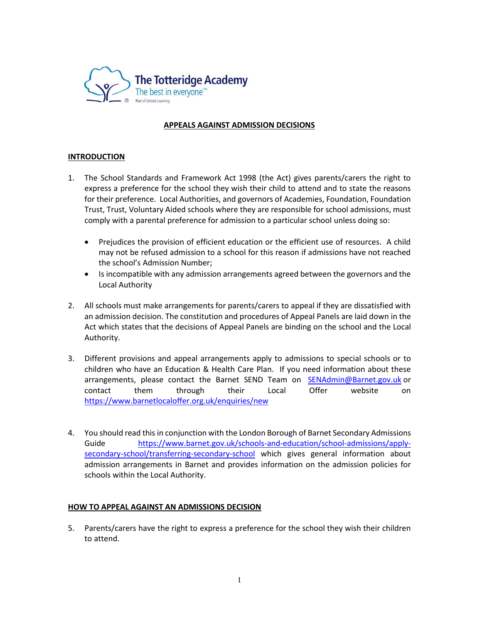

# **APPEALS AGAINST ADMISSION DECISIONS**

# **INTRODUCTION**

- 1. The School Standards and Framework Act 1998 (the Act) gives parents/carers the right to express a preference for the school they wish their child to attend and to state the reasons for their preference. Local Authorities, and governors of Academies, Foundation, Foundation Trust, Trust, Voluntary Aided schools where they are responsible for school admissions, must comply with a parental preference for admission to a particular school unless doing so:
	- Prejudices the provision of efficient education or the efficient use of resources. A child may not be refused admission to a school for this reason if admissions have not reached the school's Admission Number;
	- Is incompatible with any admission arrangements agreed between the governors and the Local Authority
- 2. All schools must make arrangements for parents/carers to appeal if they are dissatisfied with an admission decision. The constitution and procedures of Appeal Panels are laid down in the Act which states that the decisions of Appeal Panels are binding on the school and the Local Authority.
- 3. Different provisions and appeal arrangements apply to admissions to special schools or to children who have an Education & Health Care Plan. If you need information about these arrangements, please contact the Barnet SEND Team on [SENAdmin@Barnet.gov.uk](mailto:SENAdmin@Barnet.gov.uk) or contact them through their Local Offer website on <https://www.barnetlocaloffer.org.uk/enquiries/new>
- 4. You should read this in conjunction with the London Borough of Barnet Secondary Admissions Guide [https://www.barnet.gov.uk/schools-and-education/school-admissions/apply](https://www.barnet.gov.uk/schools-and-education/school-admissions/apply-secondary-school/transferring-secondary-school)[secondary-school/transferring-secondary-school](https://www.barnet.gov.uk/schools-and-education/school-admissions/apply-secondary-school/transferring-secondary-school) which gives general information about admission arrangements in Barnet and provides information on the admission policies for schools within the Local Authority.

#### **HOW TO APPEAL AGAINST AN ADMISSIONS DECISION**

5. Parents/carers have the right to express a preference for the school they wish their children to attend.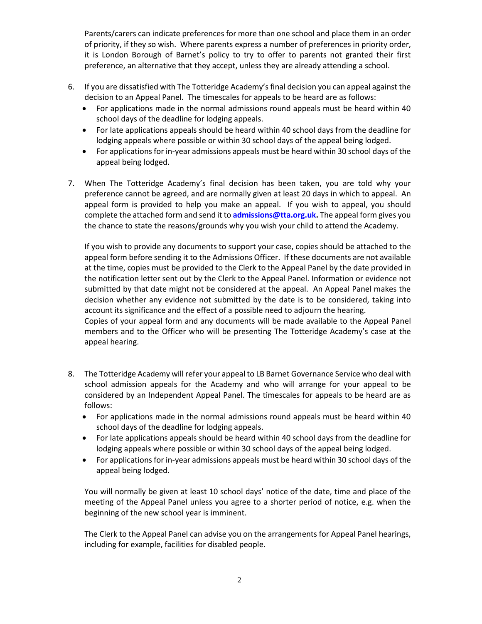Parents/carers can indicate preferences for more than one school and place them in an order of priority, if they so wish. Where parents express a number of preferences in priority order, it is London Borough of Barnet's policy to try to offer to parents not granted their first preference, an alternative that they accept, unless they are already attending a school.

- 6. If you are dissatisfied with The Totteridge Academy's final decision you can appeal against the decision to an Appeal Panel. The timescales for appeals to be heard are as follows:
	- For applications made in the normal admissions round appeals must be heard within 40 school days of the deadline for lodging appeals.
	- For late applications appeals should be heard within 40 school days from the deadline for lodging appeals where possible or within 30 school days of the appeal being lodged.
	- For applications for in-year admissions appeals must be heard within 30 school days of the appeal being lodged.
- 7. When The Totteridge Academy's final decision has been taken, you are told why your preference cannot be agreed, and are normally given at least 20 days in which to appeal. An appeal form is provided to help you make an appeal. If you wish to appeal, you should complete the attached form and send it to **[admissions@tta.org.uk.](mailto:admissions@tta.org.uk)** The appeal form gives you the chance to state the reasons/grounds why you wish your child to attend the Academy.

If you wish to provide any documents to support your case, copies should be attached to the appeal form before sending it to the Admissions Officer. If these documents are not available at the time, copies must be provided to the Clerk to the Appeal Panel by the date provided in the notification letter sent out by the Clerk to the Appeal Panel. Information or evidence not submitted by that date might not be considered at the appeal. An Appeal Panel makes the decision whether any evidence not submitted by the date is to be considered, taking into account its significance and the effect of a possible need to adjourn the hearing.

Copies of your appeal form and any documents will be made available to the Appeal Panel members and to the Officer who will be presenting The Totteridge Academy's case at the appeal hearing.

- 8. The Totteridge Academy will refer your appeal to LB Barnet Governance Service who deal with school admission appeals for the Academy and who will arrange for your appeal to be considered by an Independent Appeal Panel. The timescales for appeals to be heard are as follows:
	- For applications made in the normal admissions round appeals must be heard within 40 school days of the deadline for lodging appeals.
	- For late applications appeals should be heard within 40 school days from the deadline for lodging appeals where possible or within 30 school days of the appeal being lodged.
	- For applications for in-year admissions appeals must be heard within 30 school days of the appeal being lodged.

You will normally be given at least 10 school days' notice of the date, time and place of the meeting of the Appeal Panel unless you agree to a shorter period of notice, e.g. when the beginning of the new school year is imminent.

The Clerk to the Appeal Panel can advise you on the arrangements for Appeal Panel hearings, including for example, facilities for disabled people.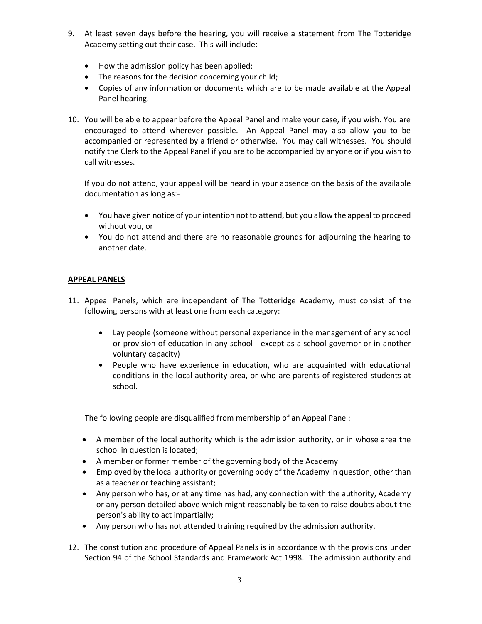- 9. At least seven days before the hearing, you will receive a statement from The Totteridge Academy setting out their case. This will include:
	- How the admission policy has been applied;
	- The reasons for the decision concerning your child;
	- Copies of any information or documents which are to be made available at the Appeal Panel hearing.
- 10. You will be able to appear before the Appeal Panel and make your case, if you wish. You are encouraged to attend wherever possible. An Appeal Panel may also allow you to be accompanied or represented by a friend or otherwise. You may call witnesses. You should notify the Clerk to the Appeal Panel if you are to be accompanied by anyone or if you wish to call witnesses.

If you do not attend, your appeal will be heard in your absence on the basis of the available documentation as long as:-

- You have given notice of your intention not to attend, but you allow the appeal to proceed without you, or
- You do not attend and there are no reasonable grounds for adjourning the hearing to another date.

# **APPEAL PANELS**

- 11. Appeal Panels, which are independent of The Totteridge Academy, must consist of the following persons with at least one from each category:
	- Lay people (someone without personal experience in the management of any school or provision of education in any school - except as a school governor or in another voluntary capacity)
	- People who have experience in education, who are acquainted with educational conditions in the local authority area, or who are parents of registered students at school.

The following people are disqualified from membership of an Appeal Panel:

- A member of the local authority which is the admission authority, or in whose area the school in question is located;
- A member or former member of the governing body of the Academy
- Employed by the local authority or governing body of the Academy in question, other than as a teacher or teaching assistant;
- Any person who has, or at any time has had, any connection with the authority, Academy or any person detailed above which might reasonably be taken to raise doubts about the person's ability to act impartially;
- Any person who has not attended training required by the admission authority.
- 12. The constitution and procedure of Appeal Panels is in accordance with the provisions under Section 94 of the School Standards and Framework Act 1998. The admission authority and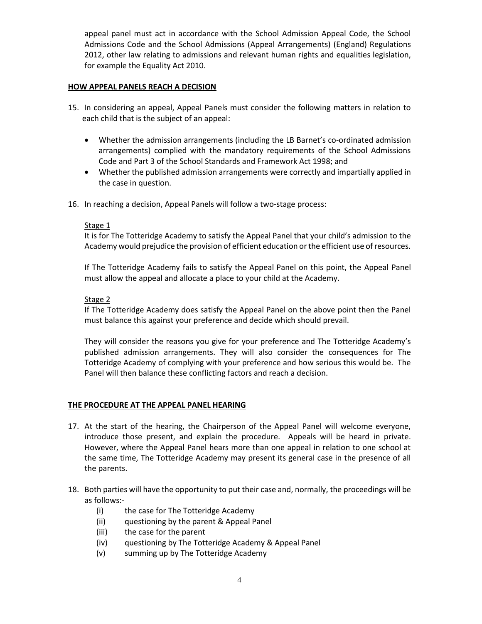appeal panel must act in accordance with the School Admission Appeal Code, the School Admissions Code and the School Admissions (Appeal Arrangements) (England) Regulations 2012, other law relating to admissions and relevant human rights and equalities legislation, for example the Equality Act 2010.

## **HOW APPEAL PANELS REACH A DECISION**

- 15. In considering an appeal, Appeal Panels must consider the following matters in relation to each child that is the subject of an appeal:
	- Whether the admission arrangements (including the LB Barnet's co-ordinated admission arrangements) complied with the mandatory requirements of the School Admissions Code and Part 3 of the School Standards and Framework Act 1998; and
	- Whether the published admission arrangements were correctly and impartially applied in the case in question.
- 16. In reaching a decision, Appeal Panels will follow a two-stage process:

#### Stage 1

It is for The Totteridge Academy to satisfy the Appeal Panel that your child's admission to the Academy would prejudice the provision of efficient education or the efficient use of resources.

If The Totteridge Academy fails to satisfy the Appeal Panel on this point, the Appeal Panel must allow the appeal and allocate a place to your child at the Academy.

#### Stage 2

If The Totteridge Academy does satisfy the Appeal Panel on the above point then the Panel must balance this against your preference and decide which should prevail.

They will consider the reasons you give for your preference and The Totteridge Academy's published admission arrangements. They will also consider the consequences for The Totteridge Academy of complying with your preference and how serious this would be. The Panel will then balance these conflicting factors and reach a decision.

# **THE PROCEDURE AT THE APPEAL PANEL HEARING**

- 17. At the start of the hearing, the Chairperson of the Appeal Panel will welcome everyone, introduce those present, and explain the procedure. Appeals will be heard in private. However, where the Appeal Panel hears more than one appeal in relation to one school at the same time, The Totteridge Academy may present its general case in the presence of all the parents.
- 18. Both parties will have the opportunity to put their case and, normally, the proceedings will be as follows:-
	- (i) the case for The Totteridge Academy
	- (ii) questioning by the parent & Appeal Panel
	- (iii) the case for the parent
	- (iv) questioning by The Totteridge Academy & Appeal Panel
	- (v) summing up by The Totteridge Academy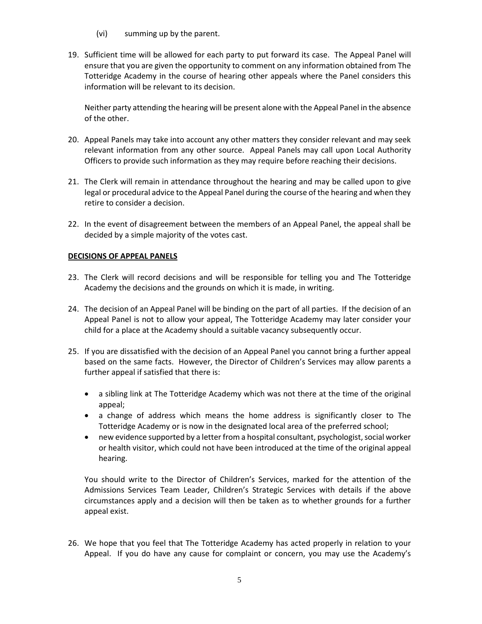- (vi) summing up by the parent.
- 19. Sufficient time will be allowed for each party to put forward its case. The Appeal Panel will ensure that you are given the opportunity to comment on any information obtained from The Totteridge Academy in the course of hearing other appeals where the Panel considers this information will be relevant to its decision.

Neither party attending the hearing will be present alone with the Appeal Panel in the absence of the other.

- 20. Appeal Panels may take into account any other matters they consider relevant and may seek relevant information from any other source. Appeal Panels may call upon Local Authority Officers to provide such information as they may require before reaching their decisions.
- 21. The Clerk will remain in attendance throughout the hearing and may be called upon to give legal or procedural advice to the Appeal Panel during the course of the hearing and when they retire to consider a decision.
- 22. In the event of disagreement between the members of an Appeal Panel, the appeal shall be decided by a simple majority of the votes cast.

# **DECISIONS OF APPEAL PANELS**

- 23. The Clerk will record decisions and will be responsible for telling you and The Totteridge Academy the decisions and the grounds on which it is made, in writing.
- 24. The decision of an Appeal Panel will be binding on the part of all parties. If the decision of an Appeal Panel is not to allow your appeal, The Totteridge Academy may later consider your child for a place at the Academy should a suitable vacancy subsequently occur.
- 25. If you are dissatisfied with the decision of an Appeal Panel you cannot bring a further appeal based on the same facts. However, the Director of Children's Services may allow parents a further appeal if satisfied that there is:
	- a sibling link at The Totteridge Academy which was not there at the time of the original appeal;
	- a change of address which means the home address is significantly closer to The Totteridge Academy or is now in the designated local area of the preferred school;
	- new evidence supported by a letter from a hospital consultant, psychologist, social worker or health visitor, which could not have been introduced at the time of the original appeal hearing.

You should write to the Director of Children's Services, marked for the attention of the Admissions Services Team Leader, Children's Strategic Services with details if the above circumstances apply and a decision will then be taken as to whether grounds for a further appeal exist.

26. We hope that you feel that The Totteridge Academy has acted properly in relation to your Appeal. If you do have any cause for complaint or concern, you may use the Academy's